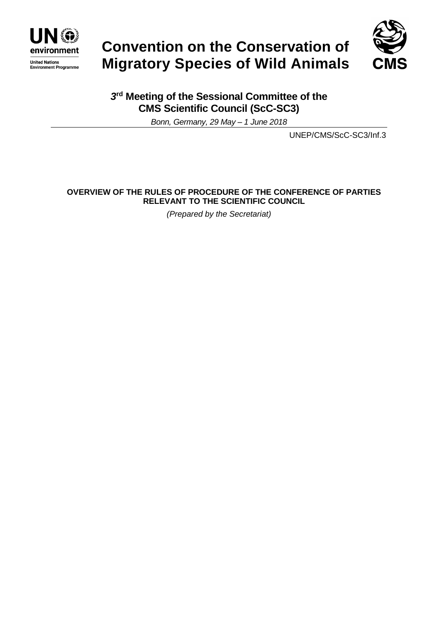

# **Convention on the Conservation of Migratory Species of Wild Animals**



## *3* **rd Meeting of the Sessional Committee of the CMS Scientific Council (ScC-SC3)**

*Bonn, Germany, 29 May – 1 June 2018*

UNEP/CMS/ScC-SC3/Inf.3

## **OVERVIEW OF THE RULES OF PROCEDURE OF THE CONFERENCE OF PARTIES RELEVANT TO THE SCIENTIFIC COUNCIL**

*(Prepared by the Secretariat)*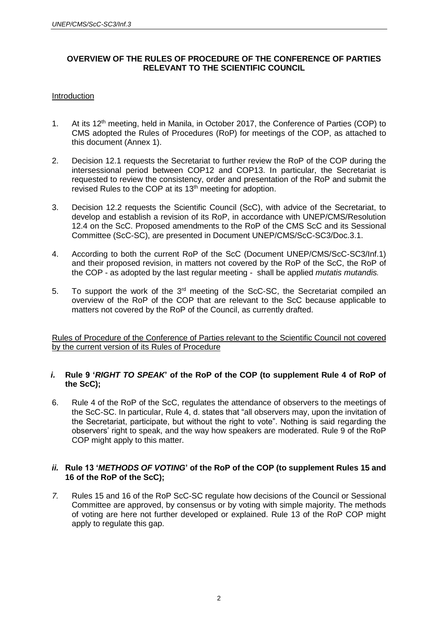## **OVERVIEW OF THE RULES OF PROCEDURE OF THE CONFERENCE OF PARTIES RELEVANT TO THE SCIENTIFIC COUNCIL**

#### Introduction

- 1. At its  $12<sup>th</sup>$  meeting, held in Manila, in October 2017, the Conference of Parties (COP) to CMS adopted the Rules of Procedures (RoP) for meetings of the COP, as attached to this document (Annex 1).
- 2. Decision 12.1 requests the Secretariat to further review the RoP of the COP during the intersessional period between COP12 and COP13. In particular, the Secretariat is requested to review the consistency, order and presentation of the RoP and submit the revised Rules to the COP at its 13<sup>th</sup> meeting for adoption.
- 3. Decision 12.2 requests the Scientific Council (ScC), with advice of the Secretariat, to develop and establish a revision of its RoP, in accordance with UNEP/CMS/Resolution 12.4 on the ScC. Proposed amendments to the RoP of the CMS ScC and its Sessional Committee (ScC-SC), are presented in Document UNEP/CMS/ScC-SC3/Doc.3.1.
- 4. According to both the current RoP of the ScC (Document UNEP/CMS/ScC-SC3/Inf.1) and their proposed revision, in matters not covered by the RoP of the ScC, the RoP of the COP - as adopted by the last regular meeting - shall be applied *mutatis mutandis.*
- 5. To support the work of the 3<sup>rd</sup> meeting of the ScC-SC, the Secretariat compiled an overview of the RoP of the COP that are relevant to the ScC because applicable to matters not covered by the RoP of the Council, as currently drafted.

Rules of Procedure of the Conference of Parties relevant to the Scientific Council not covered by the current version of its Rules of Procedure

#### *i.* **Rule 9 '***RIGHT TO SPEAK***' of the RoP of the COP (to supplement Rule 4 of RoP of the ScC);**

6. Rule 4 of the RoP of the ScC, regulates the attendance of observers to the meetings of the ScC-SC. In particular, Rule 4, d. states that "all observers may, upon the invitation of the Secretariat, participate, but without the right to vote". Nothing is said regarding the observers' right to speak, and the way how speakers are moderated. Rule 9 of the RoP COP might apply to this matter.

## *ii.* **Rule 13 '***METHODS OF VOTING***' of the RoP of the COP (to supplement Rules 15 and 16 of the RoP of the ScC);**

*7.* Rules 15 and 16 of the RoP ScC-SC regulate how decisions of the Council or Sessional Committee are approved, by consensus or by voting with simple majority. The methods of voting are here not further developed or explained. Rule 13 of the RoP COP might apply to regulate this gap.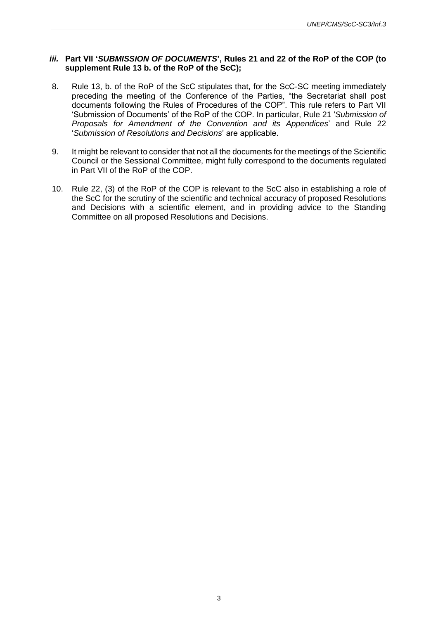#### *iii.* **Part VII '***SUBMISSION OF DOCUMENTS***', Rules 21 and 22 of the RoP of the COP (to supplement Rule 13 b. of the RoP of the ScC);**

- 8. Rule 13, b. of the RoP of the ScC stipulates that, for the ScC-SC meeting immediately preceding the meeting of the Conference of the Parties, "the Secretariat shall post documents following the Rules of Procedures of the COP". This rule refers to Part VII 'Submission of Documents' of the RoP of the COP. In particular, Rule 21 '*Submission of Proposals for Amendment of the Convention and its Appendices*' and Rule 22 '*Submission of Resolutions and Decisions*' are applicable.
- 9. It might be relevant to consider that not all the documents for the meetings of the Scientific Council or the Sessional Committee, might fully correspond to the documents regulated in Part VII of the RoP of the COP.
- 10. Rule 22, (3) of the RoP of the COP is relevant to the ScC also in establishing a role of the ScC for the scrutiny of the scientific and technical accuracy of proposed Resolutions and Decisions with a scientific element, and in providing advice to the Standing Committee on all proposed Resolutions and Decisions.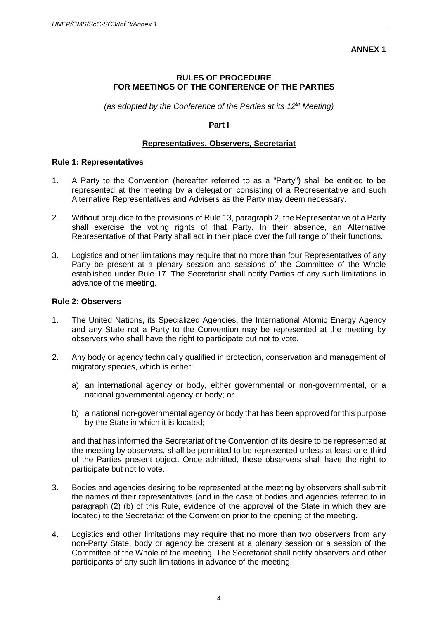#### **ANNEX 1**

## **RULES OF PROCEDURE FOR MEETINGS OF THE CONFERENCE OF THE PARTIES**

*(as adopted by the Conference of the Parties at its 12th Meeting)*

#### **Part I**

#### **Representatives, Observers, Secretariat**

#### **Rule 1: Representatives**

- 1. A Party to the Convention (hereafter referred to as a "Party") shall be entitled to be represented at the meeting by a delegation consisting of a Representative and such Alternative Representatives and Advisers as the Party may deem necessary.
- 2. Without prejudice to the provisions of Rule 13, paragraph 2, the Representative of a Party shall exercise the voting rights of that Party. In their absence, an Alternative Representative of that Party shall act in their place over the full range of their functions.
- 3. Logistics and other limitations may require that no more than four Representatives of any Party be present at a plenary session and sessions of the Committee of the Whole established under Rule 17. The Secretariat shall notify Parties of any such limitations in advance of the meeting.

## **Rule 2: Observers**

- 1. The United Nations, its Specialized Agencies, the International Atomic Energy Agency and any State not a Party to the Convention may be represented at the meeting by observers who shall have the right to participate but not to vote.
- 2. Any body or agency technically qualified in protection, conservation and management of migratory species, which is either:
	- a) an international agency or body, either governmental or non-governmental, or a national governmental agency or body; or
	- b) a national non-governmental agency or body that has been approved for this purpose by the State in which it is located;

and that has informed the Secretariat of the Convention of its desire to be represented at the meeting by observers, shall be permitted to be represented unless at least one-third of the Parties present object. Once admitted, these observers shall have the right to participate but not to vote.

- 3. Bodies and agencies desiring to be represented at the meeting by observers shall submit the names of their representatives (and in the case of bodies and agencies referred to in paragraph (2) (b) of this Rule, evidence of the approval of the State in which they are located) to the Secretariat of the Convention prior to the opening of the meeting.
- 4. Logistics and other limitations may require that no more than two observers from any non-Party State, body or agency be present at a plenary session or a session of the Committee of the Whole of the meeting. The Secretariat shall notify observers and other participants of any such limitations in advance of the meeting.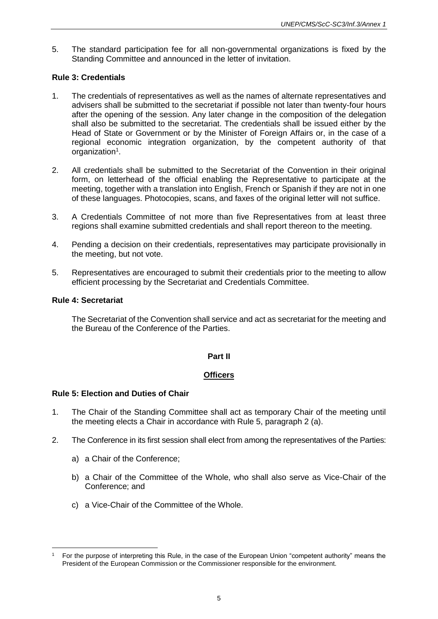5. The standard participation fee for all non-governmental organizations is fixed by the Standing Committee and announced in the letter of invitation.

## **Rule 3: Credentials**

- 1. The credentials of representatives as well as the names of alternate representatives and advisers shall be submitted to the secretariat if possible not later than twenty-four hours after the opening of the session. Any later change in the composition of the delegation shall also be submitted to the secretariat. The credentials shall be issued either by the Head of State or Government or by the Minister of Foreign Affairs or, in the case of a regional economic integration organization, by the competent authority of that organization<sup>1</sup>.
- 2. All credentials shall be submitted to the Secretariat of the Convention in their original form, on letterhead of the official enabling the Representative to participate at the meeting, together with a translation into English, French or Spanish if they are not in one of these languages. Photocopies, scans, and faxes of the original letter will not suffice.
- 3. A Credentials Committee of not more than five Representatives from at least three regions shall examine submitted credentials and shall report thereon to the meeting.
- 4. Pending a decision on their credentials, representatives may participate provisionally in the meeting, but not vote.
- 5. Representatives are encouraged to submit their credentials prior to the meeting to allow efficient processing by the Secretariat and Credentials Committee.

#### **Rule 4: Secretariat**

The Secretariat of the Convention shall service and act as secretariat for the meeting and the Bureau of the Conference of the Parties.

## **Part II**

## **Officers**

## **Rule 5: Election and Duties of Chair**

- 1. The Chair of the Standing Committee shall act as temporary Chair of the meeting until the meeting elects a Chair in accordance with Rule 5, paragraph 2 (a).
- 2. The Conference in its first session shall elect from among the representatives of the Parties:
	- a) a Chair of the Conference;
	- b) a Chair of the Committee of the Whole, who shall also serve as Vice-Chair of the Conference; and
	- c) a Vice-Chair of the Committee of the Whole.

 $\overline{a}$ <sup>1</sup> For the purpose of interpreting this Rule, in the case of the European Union "competent authority" means the President of the European Commission or the Commissioner responsible for the environment.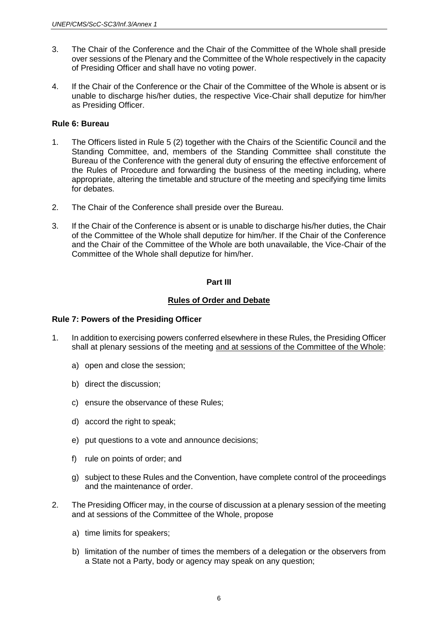- 3. The Chair of the Conference and the Chair of the Committee of the Whole shall preside over sessions of the Plenary and the Committee of the Whole respectively in the capacity of Presiding Officer and shall have no voting power.
- 4. If the Chair of the Conference or the Chair of the Committee of the Whole is absent or is unable to discharge his/her duties, the respective Vice-Chair shall deputize for him/her as Presiding Officer.

## **Rule 6: Bureau**

- 1. The Officers listed in Rule 5 (2) together with the Chairs of the Scientific Council and the Standing Committee, and, members of the Standing Committee shall constitute the Bureau of the Conference with the general duty of ensuring the effective enforcement of the Rules of Procedure and forwarding the business of the meeting including, where appropriate, altering the timetable and structure of the meeting and specifying time limits for debates.
- 2. The Chair of the Conference shall preside over the Bureau.
- 3. If the Chair of the Conference is absent or is unable to discharge his/her duties, the Chair of the Committee of the Whole shall deputize for him/her. If the Chair of the Conference and the Chair of the Committee of the Whole are both unavailable, the Vice-Chair of the Committee of the Whole shall deputize for him/her.

## **Part III**

## **Rules of Order and Debate**

## **Rule 7: Powers of the Presiding Officer**

- 1. In addition to exercising powers conferred elsewhere in these Rules, the Presiding Officer shall at plenary sessions of the meeting and at sessions of the Committee of the Whole:
	- a) open and close the session;
	- b) direct the discussion;
	- c) ensure the observance of these Rules;
	- d) accord the right to speak;
	- e) put questions to a vote and announce decisions;
	- f) rule on points of order; and
	- g) subject to these Rules and the Convention, have complete control of the proceedings and the maintenance of order.
- 2. The Presiding Officer may, in the course of discussion at a plenary session of the meeting and at sessions of the Committee of the Whole, propose
	- a) time limits for speakers;
	- b) limitation of the number of times the members of a delegation or the observers from a State not a Party, body or agency may speak on any question;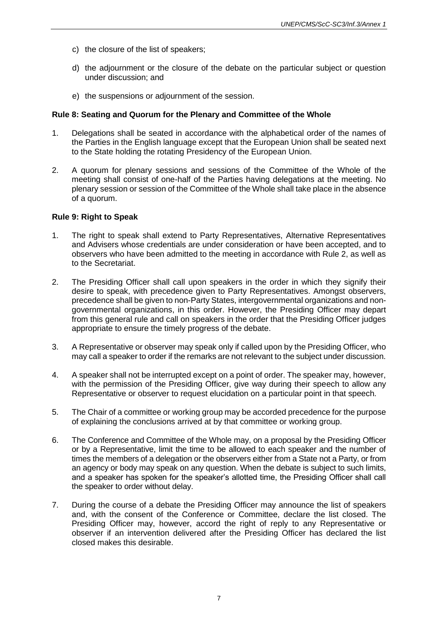- c) the closure of the list of speakers;
- d) the adjournment or the closure of the debate on the particular subject or question under discussion; and
- e) the suspensions or adjournment of the session.

#### **Rule 8: Seating and Quorum for the Plenary and Committee of the Whole**

- 1. Delegations shall be seated in accordance with the alphabetical order of the names of the Parties in the English language except that the European Union shall be seated next to the State holding the rotating Presidency of the European Union.
- 2. A quorum for plenary sessions and sessions of the Committee of the Whole of the meeting shall consist of one-half of the Parties having delegations at the meeting. No plenary session or session of the Committee of the Whole shall take place in the absence of a quorum.

#### **Rule 9: Right to Speak**

- 1. The right to speak shall extend to Party Representatives, Alternative Representatives and Advisers whose credentials are under consideration or have been accepted, and to observers who have been admitted to the meeting in accordance with Rule 2, as well as to the Secretariat.
- 2. The Presiding Officer shall call upon speakers in the order in which they signify their desire to speak, with precedence given to Party Representatives. Amongst observers, precedence shall be given to non-Party States, intergovernmental organizations and nongovernmental organizations, in this order. However, the Presiding Officer may depart from this general rule and call on speakers in the order that the Presiding Officer judges appropriate to ensure the timely progress of the debate.
- 3. A Representative or observer may speak only if called upon by the Presiding Officer, who may call a speaker to order if the remarks are not relevant to the subject under discussion.
- 4. A speaker shall not be interrupted except on a point of order. The speaker may, however, with the permission of the Presiding Officer, give way during their speech to allow any Representative or observer to request elucidation on a particular point in that speech.
- 5. The Chair of a committee or working group may be accorded precedence for the purpose of explaining the conclusions arrived at by that committee or working group.
- 6. The Conference and Committee of the Whole may, on a proposal by the Presiding Officer or by a Representative, limit the time to be allowed to each speaker and the number of times the members of a delegation or the observers either from a State not a Party, or from an agency or body may speak on any question. When the debate is subject to such limits, and a speaker has spoken for the speaker's allotted time, the Presiding Officer shall call the speaker to order without delay.
- 7. During the course of a debate the Presiding Officer may announce the list of speakers and, with the consent of the Conference or Committee, declare the list closed. The Presiding Officer may, however, accord the right of reply to any Representative or observer if an intervention delivered after the Presiding Officer has declared the list closed makes this desirable.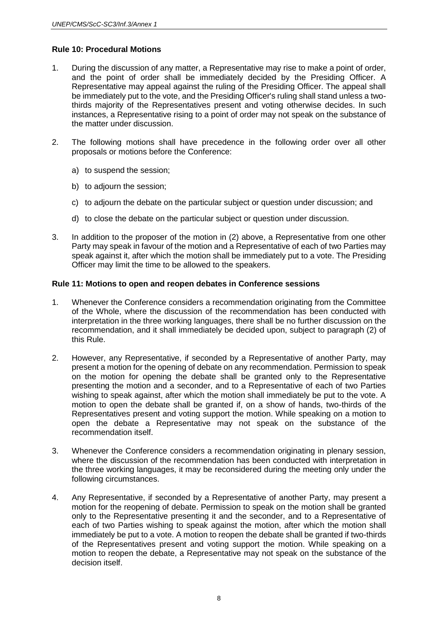#### **Rule 10: Procedural Motions**

- 1. During the discussion of any matter, a Representative may rise to make a point of order, and the point of order shall be immediately decided by the Presiding Officer. A Representative may appeal against the ruling of the Presiding Officer. The appeal shall be immediately put to the vote, and the Presiding Officer's ruling shall stand unless a twothirds majority of the Representatives present and voting otherwise decides. In such instances, a Representative rising to a point of order may not speak on the substance of the matter under discussion.
- 2. The following motions shall have precedence in the following order over all other proposals or motions before the Conference:
	- a) to suspend the session;
	- b) to adjourn the session;
	- c) to adjourn the debate on the particular subject or question under discussion; and
	- d) to close the debate on the particular subject or question under discussion.
- 3. In addition to the proposer of the motion in (2) above, a Representative from one other Party may speak in favour of the motion and a Representative of each of two Parties may speak against it, after which the motion shall be immediately put to a vote. The Presiding Officer may limit the time to be allowed to the speakers.

#### **Rule 11: Motions to open and reopen debates in Conference sessions**

- 1. Whenever the Conference considers a recommendation originating from the Committee of the Whole, where the discussion of the recommendation has been conducted with interpretation in the three working languages, there shall be no further discussion on the recommendation, and it shall immediately be decided upon, subject to paragraph (2) of this Rule.
- 2. However, any Representative, if seconded by a Representative of another Party, may present a motion for the opening of debate on any recommendation. Permission to speak on the motion for opening the debate shall be granted only to the Representative presenting the motion and a seconder, and to a Representative of each of two Parties wishing to speak against, after which the motion shall immediately be put to the vote. A motion to open the debate shall be granted if, on a show of hands, two-thirds of the Representatives present and voting support the motion. While speaking on a motion to open the debate a Representative may not speak on the substance of the recommendation itself.
- 3. Whenever the Conference considers a recommendation originating in plenary session, where the discussion of the recommendation has been conducted with interpretation in the three working languages, it may be reconsidered during the meeting only under the following circumstances.
- 4. Any Representative, if seconded by a Representative of another Party, may present a motion for the reopening of debate. Permission to speak on the motion shall be granted only to the Representative presenting it and the seconder, and to a Representative of each of two Parties wishing to speak against the motion, after which the motion shall immediately be put to a vote. A motion to reopen the debate shall be granted if two-thirds of the Representatives present and voting support the motion. While speaking on a motion to reopen the debate, a Representative may not speak on the substance of the decision itself.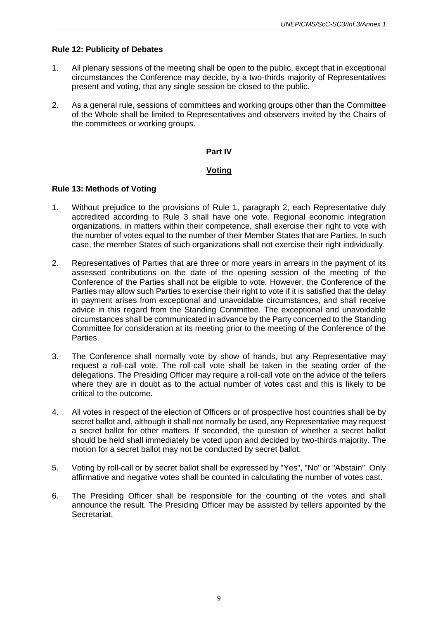## **Rule 12: Publicity of Debates**

- 1. All plenary sessions of the meeting shall be open to the public, except that in exceptional circumstances the Conference may decide, by a two-thirds majority of Representatives present and voting, that any single session be closed to the public.
- 2. As a general rule, sessions of committees and working groups other than the Committee of the Whole shall be limited to Representatives and observers invited by the Chairs of the committees or working groups.

## **Part IV**

## **Voting**

## **Rule 13: Methods of Voting**

- 1. Without prejudice to the provisions of Rule 1, paragraph 2, each Representative duly accredited according to Rule 3 shall have one vote. Regional economic integration organizations, in matters within their competence, shall exercise their right to vote with the number of votes equal to the number of their Member States that are Parties. In such case, the member States of such organizations shall not exercise their right individually.
- 2. Representatives of Parties that are three or more years in arrears in the payment of its assessed contributions on the date of the opening session of the meeting of the Conference of the Parties shall not be eligible to vote. However, the Conference of the Parties may allow such Parties to exercise their right to vote if it is satisfied that the delay in payment arises from exceptional and unavoidable circumstances, and shall receive advice in this regard from the Standing Committee. The exceptional and unavoidable circumstances shall be communicated in advance by the Party concerned to the Standing Committee for consideration at its meeting prior to the meeting of the Conference of the Parties.
- 3. The Conference shall normally vote by show of hands, but any Representative may request a roll-call vote. The roll-call vote shall be taken in the seating order of the delegations. The Presiding Officer may require a roll-call vote on the advice of the tellers where they are in doubt as to the actual number of votes cast and this is likely to be critical to the outcome.
- 4. All votes in respect of the election of Officers or of prospective host countries shall be by secret ballot and, although it shall not normally be used, any Representative may request a secret ballot for other matters. If seconded, the question of whether a secret ballot should be held shall immediately be voted upon and decided by two-thirds majority. The motion for a secret ballot may not be conducted by secret ballot.
- 5. Voting by roll-call or by secret ballot shall be expressed by "Yes", "No" or "Abstain". Only affirmative and negative votes shall be counted in calculating the number of votes cast.
- 6. The Presiding Officer shall be responsible for the counting of the votes and shall announce the result. The Presiding Officer may be assisted by tellers appointed by the Secretariat.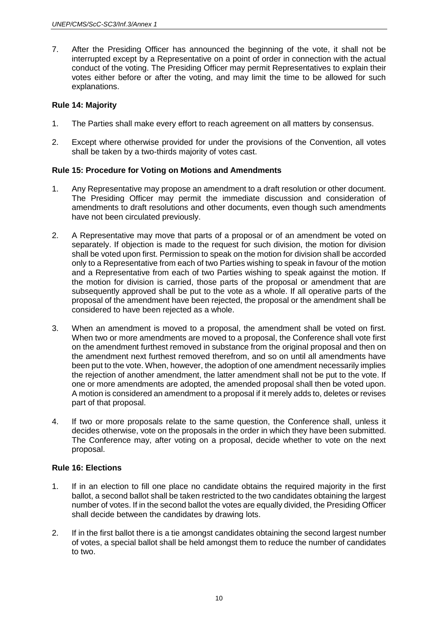7. After the Presiding Officer has announced the beginning of the vote, it shall not be interrupted except by a Representative on a point of order in connection with the actual conduct of the voting. The Presiding Officer may permit Representatives to explain their votes either before or after the voting, and may limit the time to be allowed for such explanations.

#### **Rule 14: Majority**

- 1. The Parties shall make every effort to reach agreement on all matters by consensus.
- 2. Except where otherwise provided for under the provisions of the Convention, all votes shall be taken by a two-thirds majority of votes cast.

## **Rule 15: Procedure for Voting on Motions and Amendments**

- 1. Any Representative may propose an amendment to a draft resolution or other document. The Presiding Officer may permit the immediate discussion and consideration of amendments to draft resolutions and other documents, even though such amendments have not been circulated previously.
- 2. A Representative may move that parts of a proposal or of an amendment be voted on separately. If objection is made to the request for such division, the motion for division shall be voted upon first. Permission to speak on the motion for division shall be accorded only to a Representative from each of two Parties wishing to speak in favour of the motion and a Representative from each of two Parties wishing to speak against the motion. If the motion for division is carried, those parts of the proposal or amendment that are subsequently approved shall be put to the vote as a whole. If all operative parts of the proposal of the amendment have been rejected, the proposal or the amendment shall be considered to have been rejected as a whole.
- 3. When an amendment is moved to a proposal, the amendment shall be voted on first. When two or more amendments are moved to a proposal, the Conference shall vote first on the amendment furthest removed in substance from the original proposal and then on the amendment next furthest removed therefrom, and so on until all amendments have been put to the vote. When, however, the adoption of one amendment necessarily implies the rejection of another amendment, the latter amendment shall not be put to the vote. If one or more amendments are adopted, the amended proposal shall then be voted upon. A motion is considered an amendment to a proposal if it merely adds to, deletes or revises part of that proposal.
- 4. If two or more proposals relate to the same question, the Conference shall, unless it decides otherwise, vote on the proposals in the order in which they have been submitted. The Conference may, after voting on a proposal, decide whether to vote on the next proposal.

#### **Rule 16: Elections**

- 1. If in an election to fill one place no candidate obtains the required majority in the first ballot, a second ballot shall be taken restricted to the two candidates obtaining the largest number of votes. If in the second ballot the votes are equally divided, the Presiding Officer shall decide between the candidates by drawing lots.
- 2. If in the first ballot there is a tie amongst candidates obtaining the second largest number of votes, a special ballot shall be held amongst them to reduce the number of candidates to two.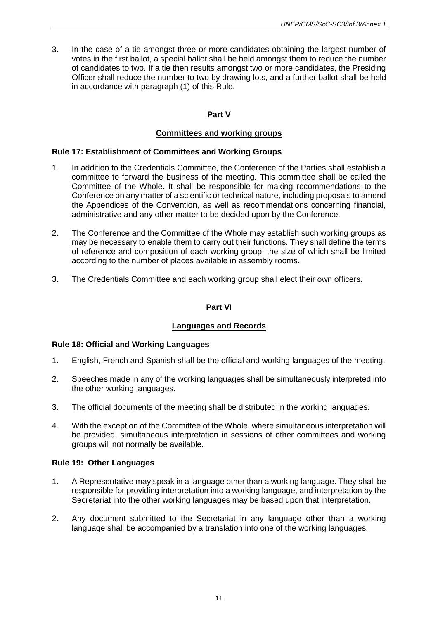3. In the case of a tie amongst three or more candidates obtaining the largest number of votes in the first ballot, a special ballot shall be held amongst them to reduce the number of candidates to two. If a tie then results amongst two or more candidates, the Presiding Officer shall reduce the number to two by drawing lots, and a further ballot shall be held in accordance with paragraph (1) of this Rule.

## **Part V**

## **Committees and working groups**

#### **Rule 17: Establishment of Committees and Working Groups**

- 1. In addition to the Credentials Committee, the Conference of the Parties shall establish a committee to forward the business of the meeting. This committee shall be called the Committee of the Whole. It shall be responsible for making recommendations to the Conference on any matter of a scientific or technical nature, including proposals to amend the Appendices of the Convention, as well as recommendations concerning financial, administrative and any other matter to be decided upon by the Conference.
- 2. The Conference and the Committee of the Whole may establish such working groups as may be necessary to enable them to carry out their functions. They shall define the terms of reference and composition of each working group, the size of which shall be limited according to the number of places available in assembly rooms.
- 3. The Credentials Committee and each working group shall elect their own officers.

## **Part VI**

## **Languages and Records**

## **Rule 18: Official and Working Languages**

- 1. English, French and Spanish shall be the official and working languages of the meeting.
- 2. Speeches made in any of the working languages shall be simultaneously interpreted into the other working languages.
- 3. The official documents of the meeting shall be distributed in the working languages.
- 4. With the exception of the Committee of the Whole, where simultaneous interpretation will be provided, simultaneous interpretation in sessions of other committees and working groups will not normally be available.

## **Rule 19: Other Languages**

- 1. A Representative may speak in a language other than a working language. They shall be responsible for providing interpretation into a working language, and interpretation by the Secretariat into the other working languages may be based upon that interpretation.
- 2. Any document submitted to the Secretariat in any language other than a working language shall be accompanied by a translation into one of the working languages.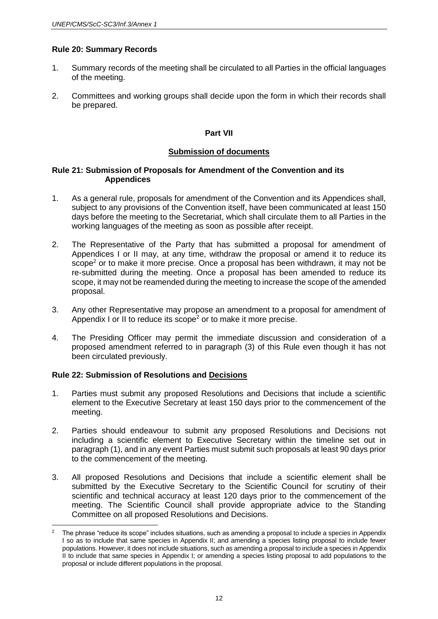#### **Rule 20: Summary Records**

- 1. Summary records of the meeting shall be circulated to all Parties in the official languages of the meeting.
- 2. Committees and working groups shall decide upon the form in which their records shall be prepared.

#### **Part VII**

#### **Submission of documents**

#### **Rule 21: Submission of Proposals for Amendment of the Convention and its Appendices**

- 1. As a general rule, proposals for amendment of the Convention and its Appendices shall, subject to any provisions of the Convention itself, have been communicated at least 150 days before the meeting to the Secretariat, which shall circulate them to all Parties in the working languages of the meeting as soon as possible after receipt.
- 2. The Representative of the Party that has submitted a proposal for amendment of Appendices I or II may, at any time, withdraw the proposal or amend it to reduce its scope<sup>2</sup> or to make it more precise. Once a proposal has been withdrawn, it may not be re-submitted during the meeting. Once a proposal has been amended to reduce its scope, it may not be reamended during the meeting to increase the scope of the amended proposal.
- 3. Any other Representative may propose an amendment to a proposal for amendment of Appendix I or II to reduce its scope<sup>2</sup> or to make it more precise.
- 4. The Presiding Officer may permit the immediate discussion and consideration of a proposed amendment referred to in paragraph (3) of this Rule even though it has not been circulated previously.

## **Rule 22: Submission of Resolutions and Decisions**

- 1. Parties must submit any proposed Resolutions and Decisions that include a scientific element to the Executive Secretary at least 150 days prior to the commencement of the meeting.
- 2. Parties should endeavour to submit any proposed Resolutions and Decisions not including a scientific element to Executive Secretary within the timeline set out in paragraph (1), and in any event Parties must submit such proposals at least 90 days prior to the commencement of the meeting.
- 3. All proposed Resolutions and Decisions that include a scientific element shall be submitted by the Executive Secretary to the Scientific Council for scrutiny of their scientific and technical accuracy at least 120 days prior to the commencement of the meeting. The Scientific Council shall provide appropriate advice to the Standing Committee on all proposed Resolutions and Decisions.

 $\overline{a}$ <sup>2</sup> The phrase "reduce its scope" includes situations, such as amending a proposal to include a species in Appendix I so as to include that same species in Appendix II; and amending a species listing proposal to include fewer populations. However, it does not include situations, such as amending a proposal to include a species in Appendix II to include that same species in Appendix I; or amending a species listing proposal to add populations to the proposal or include different populations in the proposal.